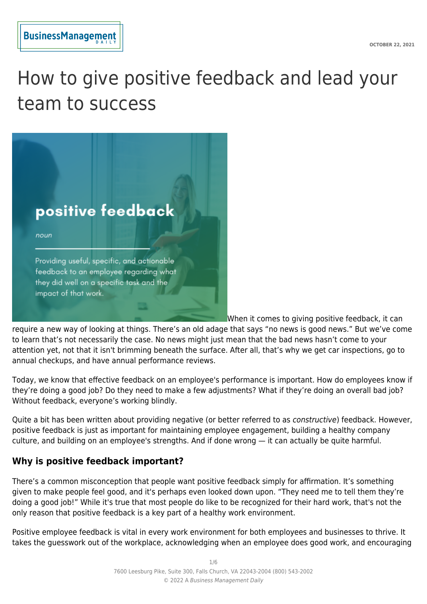

# How to give positive feedback and lead your team to success



When it comes to giving positive feedback, it can

require a new way of looking at things. There's an old adage that says "no news is good news." But we've come to learn that's not necessarily the case. No news might just mean that the bad news hasn't come to your attention yet, not that it isn't brimming beneath the surface. After all, that's why we get car inspections, go to annual checkups, and have annual performance reviews.

Today, we know that effective feedback on an employee's performance is important. How do employees know if they're doing a good job? Do they need to make a few adjustments? What if they're doing an overall bad job? Without feedback, everyone's working blindly.

Quite a bit has been written about providing negative (or better referred to as *constructive*) feedback. However, positive feedback is just as important for maintaining employee engagement, building a healthy company culture, and building on an employee's strengths. And if done wrong — it can actually be quite harmful.

# **Why is positive feedback important?**

There's a common misconception that people want positive feedback simply for affirmation. It's something given to make people feel good, and it's perhaps even looked down upon. "They need me to tell them they're doing a good job!" While it's true that most people do like to be recognized for their hard work, that's not the only reason that positive feedback is a key part of a healthy work environment.

Positive employee feedback is vital in every work environment for both employees and businesses to thrive. It takes the guesswork out of the workplace, acknowledging when an employee does good work, and encouraging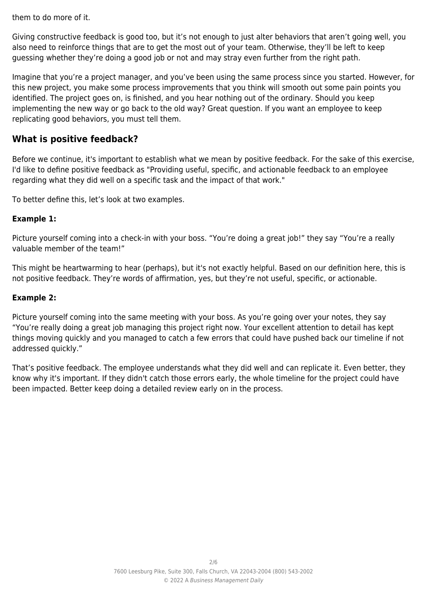them to do more of it.

Giving constructive feedback is good too, but it's not enough to just alter behaviors that aren't going well, you also need to reinforce things that are to get the most out of your team. Otherwise, they'll be left to keep guessing whether they're doing a good job or not and may stray even further from the right path.

Imagine that you're a project manager, and you've been using the same process since you started. However, for this new project, you make some process improvements that you think will smooth out some pain points you identified. The project goes on, is finished, and you hear nothing out of the ordinary. Should you keep implementing the new way or go back to the old way? Great question. If you want an employee to keep replicating good behaviors, you must tell them.

# **What is positive feedback?**

Before we continue, it's important to establish what we mean by positive feedback. For the sake of this exercise, I'd like to define positive feedback as "Providing useful, specific, and actionable feedback to an employee regarding what they did well on a specific task and the impact of that work."

To better define this, let's look at two examples.

### **Example 1:**

Picture yourself coming into a check-in with your boss. "You're doing a great job!" they say "You're a really valuable member of the team!"

This might be heartwarming to hear (perhaps), but it's not exactly helpful. Based on our definition here, this is not positive feedback. They're words of affirmation, yes, but they're not useful, specific, or actionable.

#### **Example 2:**

Picture yourself coming into the same meeting with your boss. As you're going over your notes, they say "You're really doing a great job managing this project right now. Your excellent attention to detail has kept things moving quickly and you managed to catch a few errors that could have pushed back our timeline if not addressed quickly."

That's positive feedback. The employee understands what they did well and can replicate it. Even better, they know why it's important. If they didn't catch those errors early, the whole timeline for the project could have been impacted. Better keep doing a detailed review early on in the process.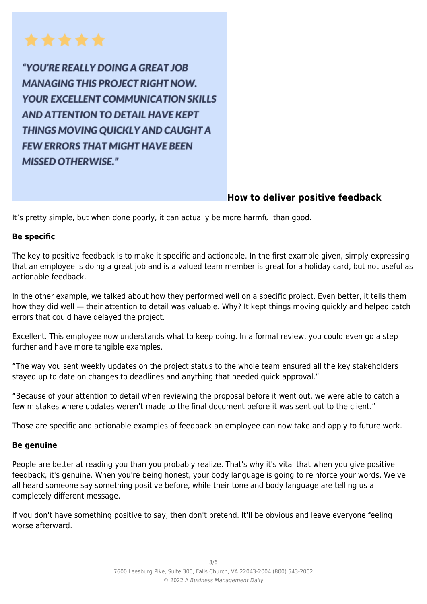

"YOU'RE REALLY DOING A GREAT JOB **MANAGING THIS PROJECT RIGHT NOW. YOUR EXCELLENT COMMUNICATION SKILLS AND ATTENTION TO DETAIL HAVE KEPT** THINGS MOVING OUICKLY AND CAUGHT A **FEW ERRORS THAT MIGHT HAVE BEEN MISSED OTHERWISE."** 

# **How to deliver positive feedback**

It's pretty simple, but when done poorly, it can actually be more harmful than good.

#### **Be specific**

The key to positive feedback is to make it specific and actionable. In the first example given, simply expressing that an employee is doing a great job and is a valued team member is great for a holiday card, but not useful as actionable feedback.

In the other example, we talked about how they performed well on a specific project. Even better, it tells them how they did well — their attention to detail was valuable. Why? It kept things moving quickly and helped catch errors that could have delayed the project.

Excellent. This employee now understands what to keep doing. In a formal review, you could even go a step further and have more tangible examples.

"The way you sent weekly updates on the project status to the whole team ensured all the key stakeholders stayed up to date on changes to deadlines and anything that needed quick approval."

"Because of your attention to detail when reviewing the proposal before it went out, we were able to catch a few mistakes where updates weren't made to the final document before it was sent out to the client."

Those are specific and actionable examples of feedback an employee can now take and apply to future work.

#### **Be genuine**

People are better at reading you than you probably realize. That's why it's vital that when you give positive feedback, it's genuine. When you're being honest, your body language is going to reinforce your words. We've all heard someone say something positive before, while their tone and body language are telling us a completely different message.

If you don't have something positive to say, then don't pretend. It'll be obvious and leave everyone feeling worse afterward.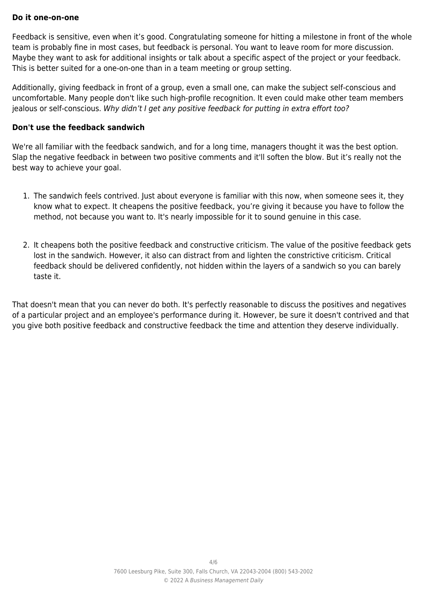#### **Do it one-on-one**

Feedback is sensitive, even when it's good. Congratulating someone for hitting a milestone in front of the whole team is probably fine in most cases, but feedback is personal. You want to leave room for more discussion. Maybe they want to ask for additional insights or talk about a specific aspect of the project or your feedback. This is better suited for a one-on-one than in a team meeting or group setting.

Additionally, giving feedback in front of a group, even a small one, can make the subject self-conscious and uncomfortable. Many people don't like such high-profile recognition. It even could make other team members jealous or self-conscious. Why didn't I get any positive feedback for putting in extra effort too?

#### **Don't use the feedback sandwich**

We're all familiar with the feedback sandwich, and for a long time, managers thought it was the best option. Slap the negative feedback in between two positive comments and it'll soften the blow. But it's really not the best way to achieve your goal.

- 1. The sandwich feels contrived. Just about everyone is familiar with this now, when someone sees it, they know what to expect. It cheapens the positive feedback, you're giving it because you have to follow the method, not because you want to. It's nearly impossible for it to sound genuine in this case.
- 2. It cheapens both the positive feedback and constructive criticism. The value of the positive feedback gets lost in the sandwich. However, it also can distract from and lighten the constrictive criticism. Critical feedback should be delivered confidently, not hidden within the layers of a sandwich so you can barely taste it.

That doesn't mean that you can never do both. It's perfectly reasonable to discuss the positives and negatives of a particular project and an employee's performance during it. However, be sure it doesn't contrived and that you give both positive feedback and constructive feedback the time and attention they deserve individually.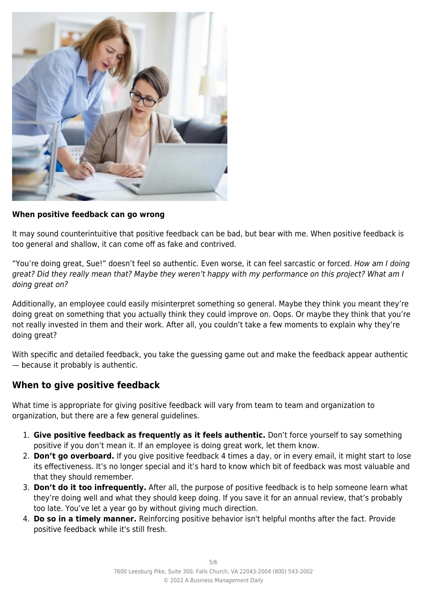

#### **When positive feedback can go wrong**

It may sound counterintuitive that positive feedback can be bad, but bear with me. When positive feedback is too general and shallow, it can come off as fake and contrived.

"You're doing great, Sue!" doesn't feel so authentic. Even worse, it can feel sarcastic or forced. How am I doing great? Did they really mean that? Maybe they weren't happy with my performance on this project? What am I doing great on?

Additionally, an employee could easily misinterpret something so general. Maybe they think you meant they're doing great on something that you actually think they could improve on. Oops. Or maybe they think that you're not really invested in them and their work. After all, you couldn't take a few moments to explain why they're doing great?

With specific and detailed feedback, you take the guessing game out and make the feedback appear authentic — because it probably is authentic.

## **When to give positive feedback**

What time is appropriate for giving positive feedback will vary from team to team and organization to organization, but there are a few general guidelines.

- 1. **Give positive feedback as frequently as it feels authentic.** Don't force yourself to say something positive if you don't mean it. If an employee is doing great work, let them know.
- 2. **Don't go overboard.** If you give positive feedback 4 times a day, or in every email, it might start to lose its effectiveness. It's no longer special and it's hard to know which bit of feedback was most valuable and that they should remember.
- 3. **Don't do it too infrequently.** After all, the purpose of positive feedback is to help someone learn what they're doing well and what they should keep doing. If you save it for an annual review, that's probably too late. You've let a year go by without giving much direction.
- 4. **Do so in a timely manner.** Reinforcing positive behavior isn't helpful months after the fact. Provide positive feedback while it's still fresh.